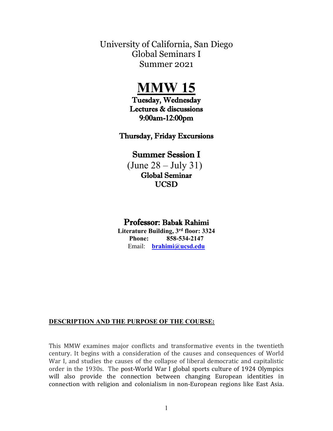University of California, San Diego Global Seminars I Summer 2021

# **MMW 15**

Tuesday, Wednesday Lectures & discussions 9:00am-12:00pm

Thursday, Friday Excursions

# Summer Session I

 $(June 28 - July 31)$ Global Seminar UCSD

# Professor: Babak Rahimi

**Literature Building, 3rd floor: 3324 Phone: 858-534-2147** Email: **[brahimi@ucsd.edu](mailto:brahimi@ucsd.edu)**

#### **DESCRIPTION AND THE PURPOSE OF THE COURSE:**

This MMW examines major conflicts and transformative events in the twentieth century. It begins with a consideration of the causes and consequences of World War I, and studies the causes of the collapse of liberal democratic and capitalistic order in the 1930s. The post-World War I global sports culture of 1924 Olympics will also provide the connection between changing European identities in connection with religion and colonialism in non-European regions like East Asia.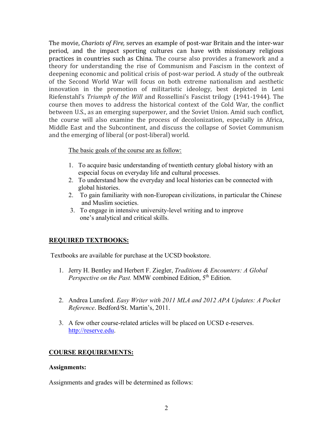The movie, *Chariots of Fire,* serves an example of post-war Britain and the inter-war period, and the impact sporting cultures can have with missionary religious practices in countries such as China. The course also provides a framework and a theory for understanding the rise of Communism and Fascism in the context of deepening economic and political crisis of post-war period. A study of the outbreak of the Second World War will focus on both extreme nationalism and aesthetic innovation in the promotion of militaristic ideology, best depicted in Leni Riefenstahl's *Triumph of the Will* and Rossellini's Fascist trilogy (1941-1944). The course then moves to address the historical context of the Cold War, the conflict between U.S., as an emerging superpower, and the Soviet Union. Amid such conflict, the course will also examine the process of decolonization, especially in Africa, Middle East and the Subcontinent, and discuss the collapse of Soviet Communism and the emerging of liberal (or post-liberal) world.

#### The basic goals of the course are as follow:

- 1. To acquire basic understanding of twentieth century global history with an especial focus on everyday life and cultural processes.
- 2. To understand how the everyday and local histories can be connected with global histories.
- 2. To gain familiarity with non-European civilizations, in particular the Chinese and Muslim societies.
- 3. To engage in intensive university-level writing and to improve one's analytical and critical skills.

#### **REQUIRED TEXTBOOKS:**

Textbooks are available for purchase at the UCSD bookstore.

- 1. Jerry H. Bentley and Herbert F. Ziegler, *Traditions & Encounters: A Global Perspective on the Past.* MMW combined Edition, 5<sup>th</sup> Edition.
- 2. Andrea Lunsford. *Easy Writer with 2011 MLA and 2012 APA Updates: A Pocket Reference*. Bedford/St. Martin's, 2011.
- 3. A few other course-related articles will be placed on UCSD e-reserves. [http://reserve.edu.](http://reserve.edu/)

#### **COURSE REQUIREMENTS:**

#### **Assignments:**

Assignments and grades will be determined as follows: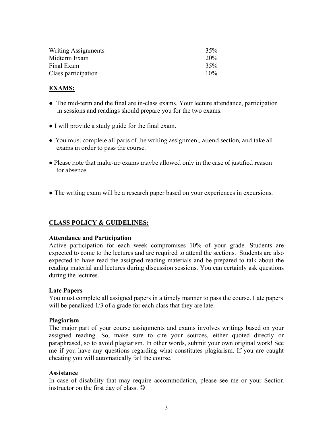| Writing Assignments | 35%    |
|---------------------|--------|
| Midterm Exam        | 20%    |
| Final Exam          | 35%    |
| Class participation | $10\%$ |

#### **EXAMS:**

- The mid-term and the final are in-class exams. Your lecture attendance, participation in sessions and readings should prepare you for the two exams.
- I will provide a study guide for the final exam.
- You must complete all parts of the writing assignment, attend section, and take all exams in order to pass the course.
- Please note that make-up exams maybe allowed only in the case of justified reason for absence.
- The writing exam will be a research paper based on your experiences in excursions.

#### **CLASS POLICY & GUIDELINES:**

#### **Attendance and Participation**

Active participation for each week compromises 10% of your grade. Students are expected to come to the lectures and are required to attend the sections. Students are also expected to have read the assigned reading materials and be prepared to talk about the reading material and lectures during discussion sessions. You can certainly ask questions during the lectures.

#### **Late Papers**

You must complete all assigned papers in a timely manner to pass the course. Late papers will be penalized  $1/3$  of a grade for each class that they are late.

#### **Plagiarism**

The major part of your course assignments and exams involves writings based on your assigned reading. So, make sure to cite your sources, either quoted directly or paraphrased, so to avoid plagiarism. In other words, submit your own original work! See me if you have any questions regarding what constitutes plagiarism. If you are caught cheating you will automatically fail the course.

#### **Assistance**

In case of disability that may require accommodation, please see me or your Section instructor on the first day of class.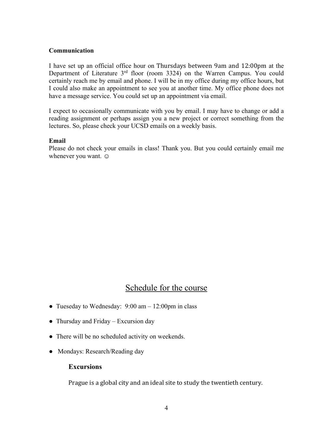#### **Communication**

I have set up an official office hour on Thursdays between 9am and 12:00pm at the Department of Literature 3<sup>rd</sup> floor (room 3324) on the Warren Campus. You could certainly reach me by email and phone. I will be in my office during my office hours, but I could also make an appointment to see you at another time. My office phone does not have a message service. You could set up an appointment via email.

I expect to occasionally communicate with you by email. I may have to change or add a reading assignment or perhaps assign you a new project or correct something from the lectures. So, please check your UCSD emails on a weekly basis.

#### **Email**

Please do not check your emails in class! Thank you. But you could certainly email me whenever you want.  $\odot$ 

# Schedule for the course

- Tueseday to Wednesday: 9:00 am 12:00pm in class
- Thursday and Friday Excursion day
- **•** There will be no scheduled activity on weekends.
- **●** Mondays: Research/Reading day

#### **Excursions**

Prague is a global city and an ideal site to study the twentieth century.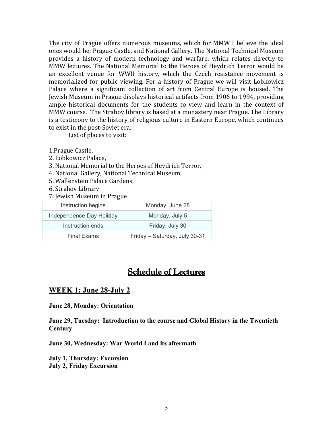The city of Prague offers numerous museums, which for MMW I believe the ideal ones would be: Prague Castle, and National Gallery. The National Technical Museum provides a history of modern technology and warfare, which relates directly to MMW lectures. The National Memorial to the Heroes of Heydrich Terror would be an excellent venue for WWII history, which the Czech resistance movement is memorialized for public viewing. For a history of Prague we will visit Lobkowicz Palace where a significant collection of art from Central Europe is housed. The Jewish Museum in Prague displays historical artifacts from 1906 to 1994, providing ample historical documents for the students to view and learn in the context of MMW course. The Strahov library is based at a monastery near Prague. The Library is a testimony to the history of religious culture in Eastern Europe, which continues to exist in the post-Soviet era.

List of places to visit:

1.Prague Castle,

- 2. Lobkowicz Palace,
- 3. National Memorial to the Heroes of Heydrich Terror,
- 4. National Gallery, National Technical Museum,
- 5. Wallenstein Palace Gardens,
- 6. Strahov Library
- 7. Jewish Museum in Prague

| Instruction begins       | Monday, June 28               |
|--------------------------|-------------------------------|
| Independence Day Holiday | Monday, July 5                |
| Instruction ends         | Friday, July 30               |
| <b>Final Exams</b>       | Friday - Saturday, July 30-31 |

# Schedule of Lectures

### **WEEK 1: June 28-July 2**

**June 28, Monday: Orientation** 

**June 29, Tuesday: Introduction to the course and Global History in the Twentieth Century** 

**June 30, Wednesday: War World I and its aftermath** 

**July 1, Thursday: Excursion July 2, Friday Excursion**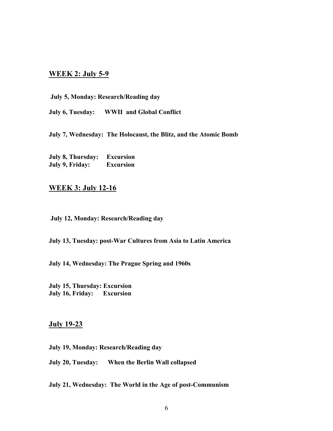### **WEEK 2: July 5-9**

**July 5, Monday: Research/Reading day** 

**July 6, Tuesday: WWII and Global Conflict** 

**July 7, Wednesday: The Holocaust, the Blitz, and the Atomic Bomb** 

**July 8, Thursday: Excursion July 9, Friday: Excursion** 

## **WEEK 3: July 12-16**

**July 12, Monday: Research/Reading day** 

**July 13, Tuesday: post-War Cultures from Asia to Latin America** 

**July 14, Wednesday: The Prague Spring and 1960s** 

**July 15, Thursday: Excursion July 16, Friday: Excursion** 

#### **July 19-23**

**July 19, Monday: Research/Reading day** 

**July 20, Tuesday: When the Berlin Wall collapsed** 

**July 21, Wednesday: The World in the Age of post-Communism**